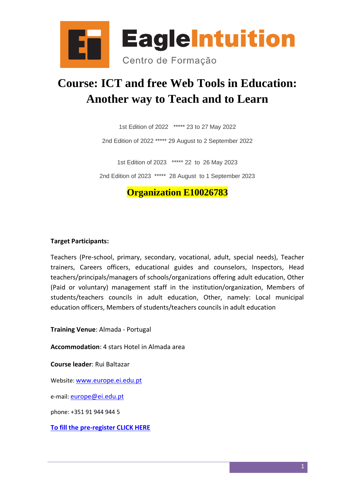

# **Course: ICT and free Web Tools in Education: Another way to Teach and to Learn**

1st Edition of 2022 \*\*\*\*\* 23 to 27 May 2022

2nd Edition of 2022 \*\*\*\*\* 29 August to 2 September 2022

1st Edition of 2023 \*\*\*\*\* 22 to 26 May 2023

2nd Edition of 2023 \*\*\*\*\* 28 August to 1 September 2023

## **Organization E10026783**

#### **Target Participants:**

Teachers (Pre-school, primary, secondary, vocational, adult, special needs), Teacher trainers, Careers officers, educational guides and counselors, Inspectors, Head teachers/principals/managers of schools/organizations offering adult education, Other (Paid or voluntary) management staff in the institution/organization, Members of students/teachers councils in adult education, Other, namely: Local municipal education officers, Members of students/teachers councils in adult education

**Training Venue**: Almada - Portugal

**Accommodation**: 4 stars Hotel in Almada area

**Course leader**: Rui Baltazar

Website: <www.europe.ei.edu.pt>

e-mail: <europe@ei.edu.pt>

phone: +351 91 944 944 5

**[To fill the pre-register CLICK HERE](https://docs.google.com/forms/d/e/1FAIpQLScJwUmFQdnoDICQt0G08NCWO5MKpkTAIQUOP1S-2tZB8zPgDg/viewform?usp=sf_link)**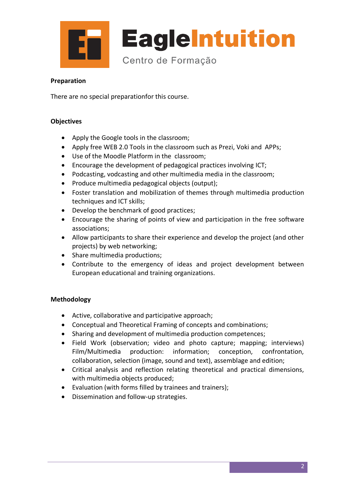

#### **Preparation**

There are no special preparationfor this course.

#### **Objectives**

- Apply the Google tools in the classroom;
- Apply free WEB 2.0 Tools in the classroom such as Prezi, Voki and APPs;
- Use of the Moodle Platform in the classroom;
- Encourage the development of pedagogical practices involving ICT;
- Podcasting, vodcasting and other multimedia media in the classroom;
- Produce multimedia pedagogical objects (output);
- Foster translation and mobilization of themes through multimedia production techniques and ICT skills;
- Develop the benchmark of good practices;
- Encourage the sharing of points of view and participation in the free software associations;
- Allow participants to share their experience and develop the project (and other projects) by web networking;
- Share multimedia productions;
- Contribute to the emergency of ideas and project development between European educational and training organizations.

#### **Methodology**

- Active, collaborative and participative approach;
- Conceptual and Theoretical Framing of concepts and combinations;
- Sharing and development of multimedia production competences;
- Field Work (observation; video and photo capture; mapping; interviews) Film/Multimedia production: information; conception, confrontation, collaboration, selection (image, sound and text), assemblage and edition;
- Critical analysis and reflection relating theoretical and practical dimensions, with multimedia objects produced;
- Evaluation (with forms filled by trainees and trainers);
- Dissemination and follow-up strategies.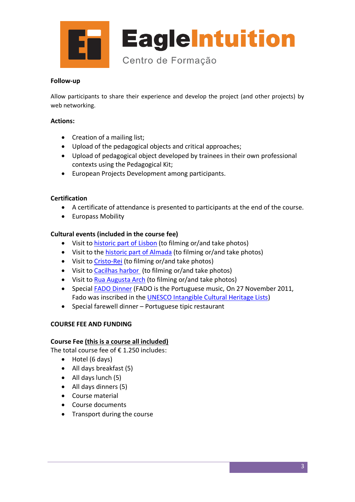

#### **Follow-up**

Allow participants to share their experience and develop the project (and other projects) by web networking.

#### **Actions:**

- Creation of a mailing list;
- Upload of the pedagogical objects and critical approaches;
- Upload of pedagogical object developed by trainees in their own professional contexts using the Pedagogical Kit;
- European Projects Development among participants.

#### **Certification**

- A certificate of attendance is presented to participants at the end of the course.
- Europass Mobility

#### **Cultural events (included in the course fee)**

- Visit to [historic part of Lisbon](http://en.wikipedia.org/wiki/Bel%C3%A9m_%28Lisbon%29) (to filming or/and take photos)
- Visit to the [historic part of Almada](http://en.wikipedia.org/wiki/Almada) (to filming or/and take photos)
- Visit to [Cristo-Rei](http://en.wikipedia.org/wiki/Christ_the_King_%28Lisbon%29) (to filming or/and take photos)
- Visit to [Cacilhas harbor](https://www.google.pt/search?q=cacilhas&biw=1366&bih=609&source=lnms&tbm=isch&sa=X&ei=RgjWVOHuEdHZaqzFgeAN&ved=0CAcQ_AUoAg#tbm=isch&q=cacilhas+rio) (to filming or/and take photos)
- Visit to [Rua Augusta Arch](http://en.wikipedia.org/wiki/Rua_Augusta_Arch) (to filming or/and take photos)
- Special [FADO Dinner](http://en.wikipedia.org/wiki/Fado) (FADO is the Portuguese music, On 27 November 2011, Fado was inscribed in the [UNESCO Intangible Cultural Heritage Lists\)](http://en.wikipedia.org/wiki/UNESCO_Intangible_Cultural_Heritage_Lists)
- Special farewell dinner Portuguese tipic restaurant

#### **COURSE FEE AND FUNDING**

#### **Course Fee (this is a course all included)**

The total course fee of  $\epsilon$  1.250 includes:

- Hotel (6 days)
- All days breakfast (5)
- All days lunch (5)
- All days dinners (5)
- Course material
- Course documents
- Transport during the course